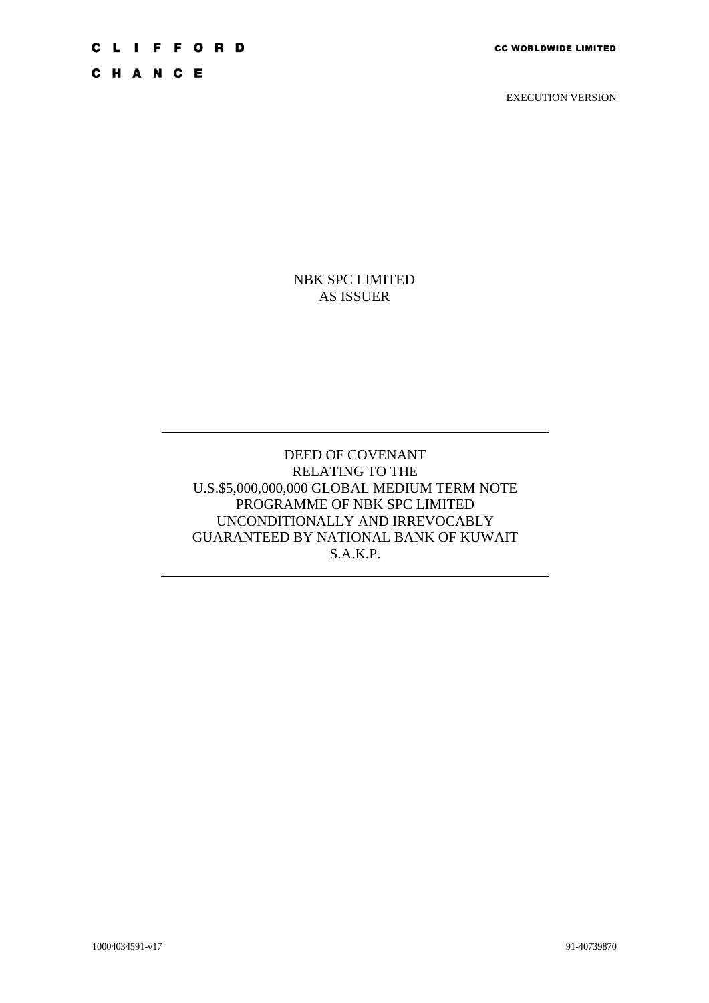# **CLIFFORD**

CHANCE

EXECUTION VERSION

NBK SPC LIMITED AS ISSUER

DEED OF COVENANT RELATING TO THE U.S.\$5,000,000,000 GLOBAL MEDIUM TERM NOTE PROGRAMME OF NBK SPC LIMITED UNCONDITIONALLY AND IRREVOCABLY GUARANTEED BY NATIONAL BANK OF KUWAIT S.A.K.P.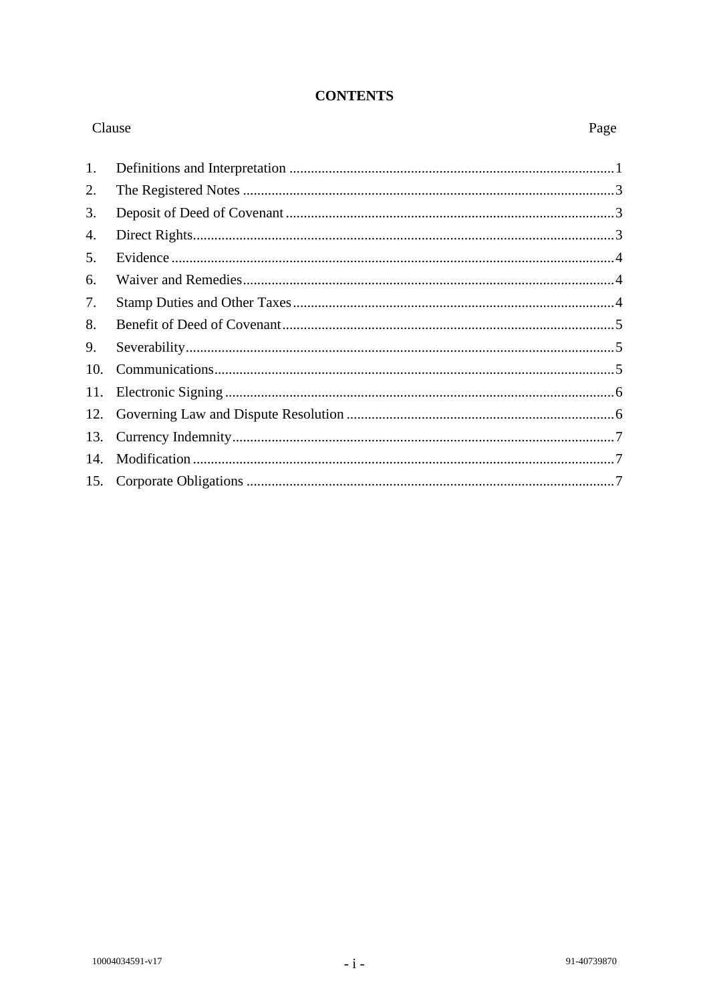# **CONTENTS**

| Clause |  | Page |
|--------|--|------|
| 1.     |  |      |
| 2.     |  |      |
| 3.     |  |      |
| 4.     |  |      |
| 5.     |  |      |
| 6.     |  |      |
| 7.     |  |      |
| 8.     |  |      |
| 9.     |  |      |
| 10.    |  |      |
| 11.    |  |      |
| 12.    |  |      |
| 13.    |  |      |
| 14.    |  |      |
| 15.    |  |      |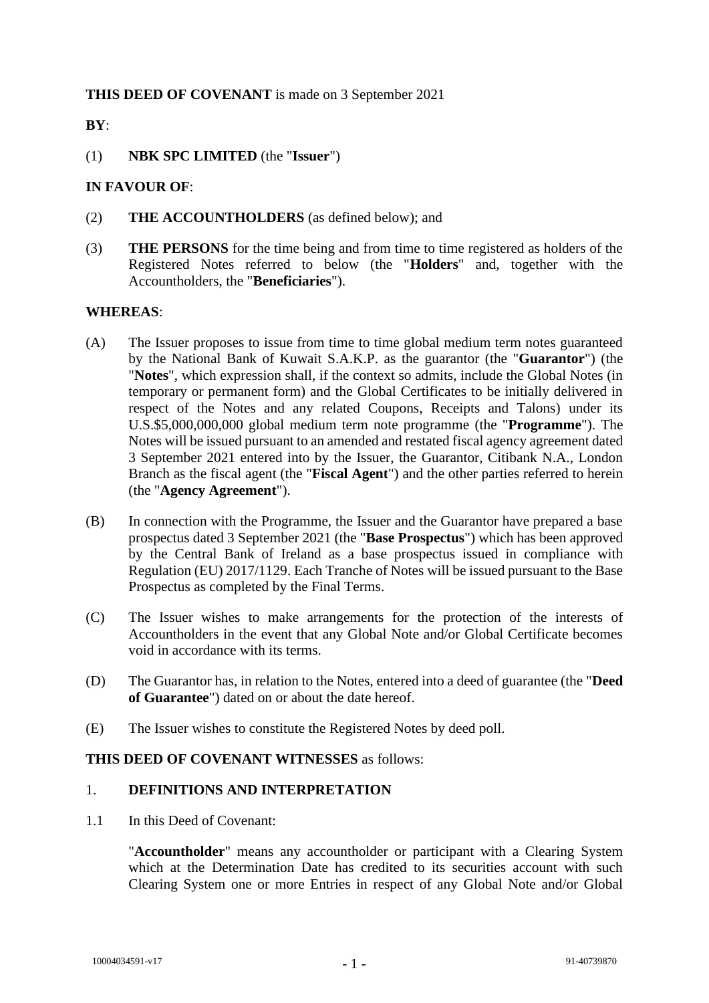# **THIS DEED OF COVENANT** is made on 3 September 2021

# **BY**:

(1) **NBK SPC LIMITED** (the "**Issuer**")

# **IN FAVOUR OF**:

- (2) **THE ACCOUNTHOLDERS** (as defined below); and
- (3) **THE PERSONS** for the time being and from time to time registered as holders of the Registered Notes referred to below (the "**Holders**" and, together with the Accountholders, the "**Beneficiaries**").

# **WHEREAS**:

- (A) The Issuer proposes to issue from time to time global medium term notes guaranteed by the National Bank of Kuwait S.A.K.P. as the guarantor (the "**Guarantor**") (the "**Notes**", which expression shall, if the context so admits, include the Global Notes (in temporary or permanent form) and the Global Certificates to be initially delivered in respect of the Notes and any related Coupons, Receipts and Talons) under its U.S.\$5,000,000,000 global medium term note programme (the "**Programme**"). The Notes will be issued pursuant to an amended and restated fiscal agency agreement dated 3 September 2021 entered into by the Issuer, the Guarantor, Citibank N.A., London Branch as the fiscal agent (the "**Fiscal Agent**") and the other parties referred to herein (the "**Agency Agreement**").
- (B) In connection with the Programme, the Issuer and the Guarantor have prepared a base prospectus dated 3 September 2021 (the "**Base Prospectus**") which has been approved by the Central Bank of Ireland as a base prospectus issued in compliance with Regulation (EU) 2017/1129. Each Tranche of Notes will be issued pursuant to the Base Prospectus as completed by the Final Terms.
- (C) The Issuer wishes to make arrangements for the protection of the interests of Accountholders in the event that any Global Note and/or Global Certificate becomes void in accordance with its terms.
- (D) The Guarantor has, in relation to the Notes, entered into a deed of guarantee (the "**Deed of Guarantee**") dated on or about the date hereof.
- (E) The Issuer wishes to constitute the Registered Notes by deed poll.

# **THIS DEED OF COVENANT WITNESSES** as follows:

# 1. **DEFINITIONS AND INTERPRETATION**

1.1 In this Deed of Covenant:

"**Accountholder**" means any accountholder or participant with a Clearing System which at the Determination Date has credited to its securities account with such Clearing System one or more Entries in respect of any Global Note and/or Global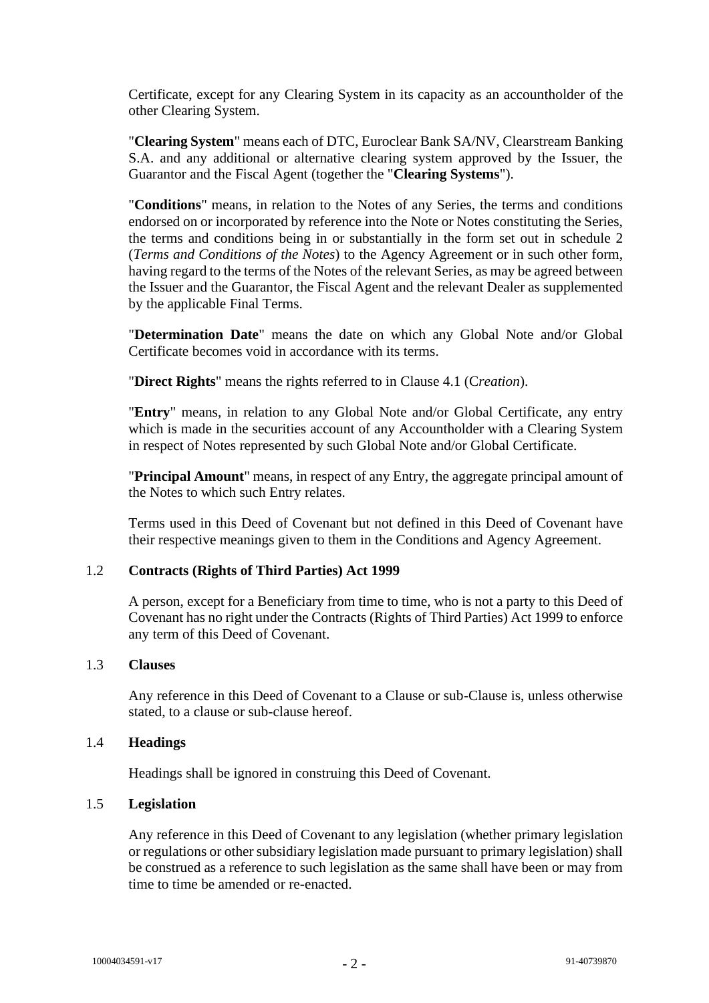Certificate, except for any Clearing System in its capacity as an accountholder of the other Clearing System.

"**Clearing System**" means each of DTC, Euroclear Bank SA/NV, Clearstream Banking S.A. and any additional or alternative clearing system approved by the Issuer, the Guarantor and the Fiscal Agent (together the "**Clearing Systems**").

"**Conditions**" means, in relation to the Notes of any Series, the terms and conditions endorsed on or incorporated by reference into the Note or Notes constituting the Series, the terms and conditions being in or substantially in the form set out in schedule 2 (*Terms and Conditions of the Notes*) to the Agency Agreement or in such other form, having regard to the terms of the Notes of the relevant Series, as may be agreed between the Issuer and the Guarantor, the Fiscal Agent and the relevant Dealer as supplemented by the applicable Final Terms.

"**Determination Date**" means the date on which any Global Note and/or Global Certificate becomes void in accordance with its terms.

"**Direct Rights**" means the rights referred to in Clause [4.1](#page-4-0) (C*reation*).

"**Entry**" means, in relation to any Global Note and/or Global Certificate, any entry which is made in the securities account of any Accountholder with a Clearing System in respect of Notes represented by such Global Note and/or Global Certificate.

"**Principal Amount**" means, in respect of any Entry, the aggregate principal amount of the Notes to which such Entry relates.

Terms used in this Deed of Covenant but not defined in this Deed of Covenant have their respective meanings given to them in the Conditions and Agency Agreement.

# 1.2 **Contracts (Rights of Third Parties) Act 1999**

A person, except for a Beneficiary from time to time, who is not a party to this Deed of Covenant has no right under the Contracts (Rights of Third Parties) Act 1999 to enforce any term of this Deed of Covenant.

# 1.3 **Clauses**

Any reference in this Deed of Covenant to a Clause or sub-Clause is, unless otherwise stated, to a clause or sub-clause hereof.

#### 1.4 **Headings**

Headings shall be ignored in construing this Deed of Covenant.

# 1.5 **Legislation**

Any reference in this Deed of Covenant to any legislation (whether primary legislation or regulations or other subsidiary legislation made pursuant to primary legislation) shall be construed as a reference to such legislation as the same shall have been or may from time to time be amended or re-enacted.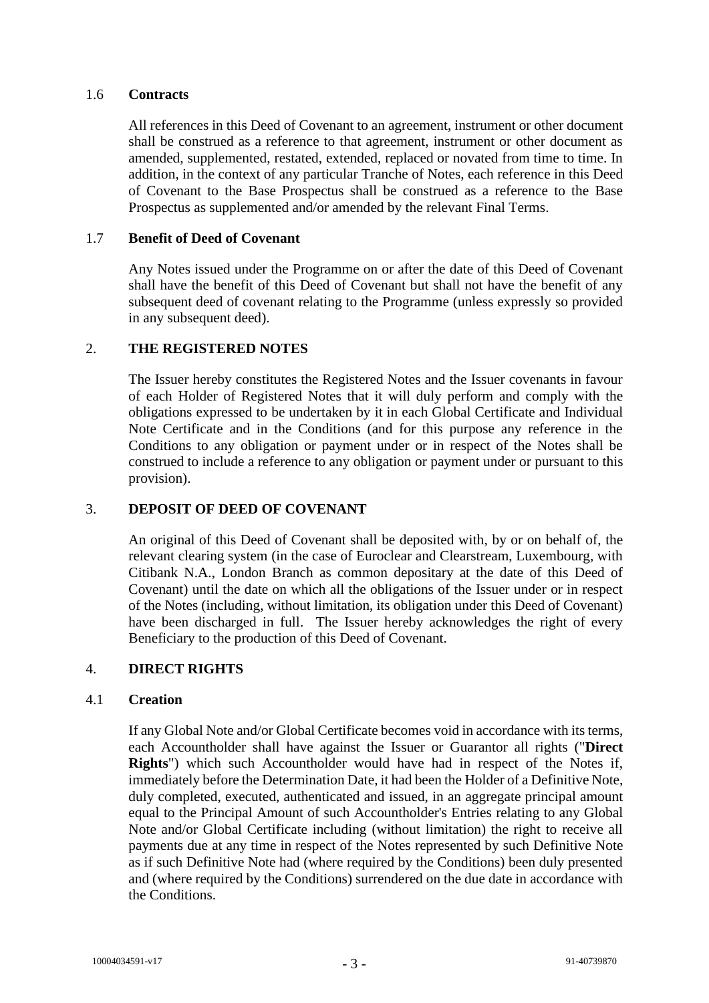# 1.6 **Contracts**

All references in this Deed of Covenant to an agreement, instrument or other document shall be construed as a reference to that agreement, instrument or other document as amended, supplemented, restated, extended, replaced or novated from time to time. In addition, in the context of any particular Tranche of Notes, each reference in this Deed of Covenant to the Base Prospectus shall be construed as a reference to the Base Prospectus as supplemented and/or amended by the relevant Final Terms.

# 1.7 **Benefit of Deed of Covenant**

Any Notes issued under the Programme on or after the date of this Deed of Covenant shall have the benefit of this Deed of Covenant but shall not have the benefit of any subsequent deed of covenant relating to the Programme (unless expressly so provided in any subsequent deed).

# 2. **THE REGISTERED NOTES**

The Issuer hereby constitutes the Registered Notes and the Issuer covenants in favour of each Holder of Registered Notes that it will duly perform and comply with the obligations expressed to be undertaken by it in each Global Certificate and Individual Note Certificate and in the Conditions (and for this purpose any reference in the Conditions to any obligation or payment under or in respect of the Notes shall be construed to include a reference to any obligation or payment under or pursuant to this provision).

# 3. **DEPOSIT OF DEED OF COVENANT**

An original of this Deed of Covenant shall be deposited with, by or on behalf of, the relevant clearing system (in the case of Euroclear and Clearstream, Luxembourg, with Citibank N.A., London Branch as common depositary at the date of this Deed of Covenant) until the date on which all the obligations of the Issuer under or in respect of the Notes (including, without limitation, its obligation under this Deed of Covenant) have been discharged in full. The Issuer hereby acknowledges the right of every Beneficiary to the production of this Deed of Covenant.

# 4. **DIRECT RIGHTS**

# <span id="page-4-0"></span>4.1 **Creation**

If any Global Note and/or Global Certificate becomes void in accordance with its terms, each Accountholder shall have against the Issuer or Guarantor all rights ("**Direct Rights**") which such Accountholder would have had in respect of the Notes if, immediately before the Determination Date, it had been the Holder of a Definitive Note, duly completed, executed, authenticated and issued, in an aggregate principal amount equal to the Principal Amount of such Accountholder's Entries relating to any Global Note and/or Global Certificate including (without limitation) the right to receive all payments due at any time in respect of the Notes represented by such Definitive Note as if such Definitive Note had (where required by the Conditions) been duly presented and (where required by the Conditions) surrendered on the due date in accordance with the Conditions.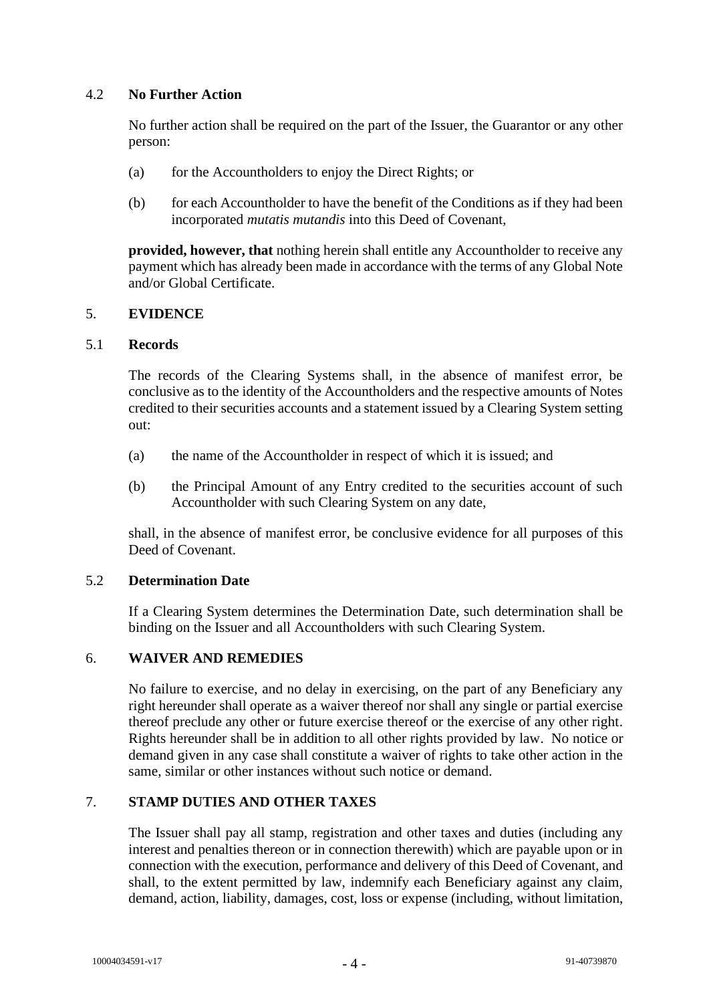# 4.2 **No Further Action**

No further action shall be required on the part of the Issuer, the Guarantor or any other person:

- (a) for the Accountholders to enjoy the Direct Rights; or
- (b) for each Accountholder to have the benefit of the Conditions as if they had been incorporated *mutatis mutandis* into this Deed of Covenant,

**provided, however, that** nothing herein shall entitle any Accountholder to receive any payment which has already been made in accordance with the terms of any Global Note and/or Global Certificate.

# 5. **EVIDENCE**

# 5.1 **Records**

The records of the Clearing Systems shall, in the absence of manifest error, be conclusive as to the identity of the Accountholders and the respective amounts of Notes credited to their securities accounts and a statement issued by a Clearing System setting out:

- (a) the name of the Accountholder in respect of which it is issued; and
- (b) the Principal Amount of any Entry credited to the securities account of such Accountholder with such Clearing System on any date,

shall, in the absence of manifest error, be conclusive evidence for all purposes of this Deed of Covenant.

# 5.2 **Determination Date**

If a Clearing System determines the Determination Date, such determination shall be binding on the Issuer and all Accountholders with such Clearing System.

# 6. **WAIVER AND REMEDIES**

No failure to exercise, and no delay in exercising, on the part of any Beneficiary any right hereunder shall operate as a waiver thereof nor shall any single or partial exercise thereof preclude any other or future exercise thereof or the exercise of any other right. Rights hereunder shall be in addition to all other rights provided by law. No notice or demand given in any case shall constitute a waiver of rights to take other action in the same, similar or other instances without such notice or demand.

# 7. **STAMP DUTIES AND OTHER TAXES**

The Issuer shall pay all stamp, registration and other taxes and duties (including any interest and penalties thereon or in connection therewith) which are payable upon or in connection with the execution, performance and delivery of this Deed of Covenant, and shall, to the extent permitted by law, indemnify each Beneficiary against any claim, demand, action, liability, damages, cost, loss or expense (including, without limitation,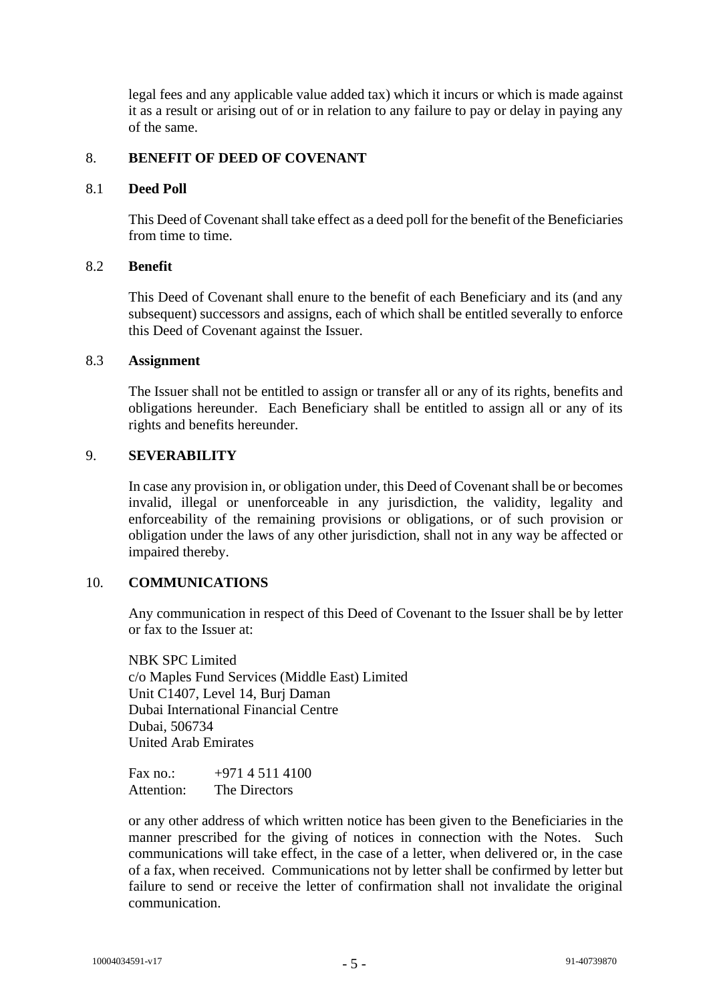legal fees and any applicable value added tax) which it incurs or which is made against it as a result or arising out of or in relation to any failure to pay or delay in paying any of the same.

# 8. **BENEFIT OF DEED OF COVENANT**

# 8.1 **Deed Poll**

This Deed of Covenant shall take effect as a deed poll for the benefit of the Beneficiaries from time to time.

# 8.2 **Benefit**

This Deed of Covenant shall enure to the benefit of each Beneficiary and its (and any subsequent) successors and assigns, each of which shall be entitled severally to enforce this Deed of Covenant against the Issuer.

#### 8.3 **Assignment**

The Issuer shall not be entitled to assign or transfer all or any of its rights, benefits and obligations hereunder. Each Beneficiary shall be entitled to assign all or any of its rights and benefits hereunder.

#### 9. **SEVERABILITY**

In case any provision in, or obligation under, this Deed of Covenant shall be or becomes invalid, illegal or unenforceable in any jurisdiction, the validity, legality and enforceability of the remaining provisions or obligations, or of such provision or obligation under the laws of any other jurisdiction, shall not in any way be affected or impaired thereby.

# 10. **COMMUNICATIONS**

Any communication in respect of this Deed of Covenant to the Issuer shall be by letter or fax to the Issuer at:

NBK SPC Limited c/o Maples Fund Services (Middle East) Limited Unit C1407, Level 14, Burj Daman Dubai International Financial Centre Dubai, 506734 United Arab Emirates

| Fax $no.$ : | $+97145114100$ |
|-------------|----------------|
| Attention:  | The Directors  |

or any other address of which written notice has been given to the Beneficiaries in the manner prescribed for the giving of notices in connection with the Notes. Such communications will take effect, in the case of a letter, when delivered or, in the case of a fax, when received. Communications not by letter shall be confirmed by letter but failure to send or receive the letter of confirmation shall not invalidate the original communication.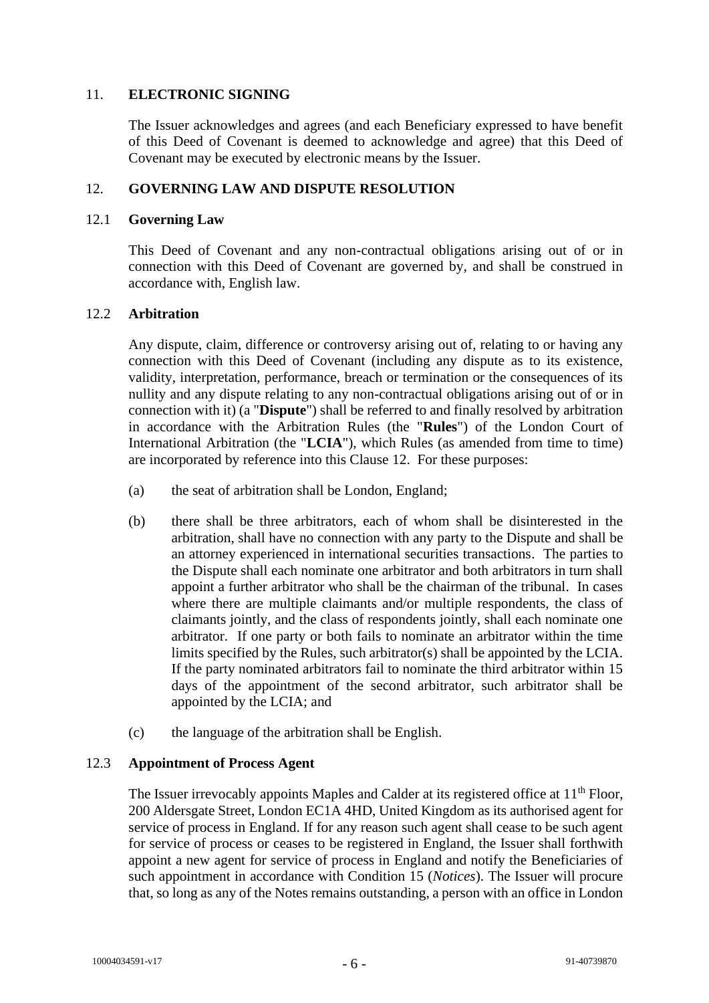# 11. **ELECTRONIC SIGNING**

The Issuer acknowledges and agrees (and each Beneficiary expressed to have benefit of this Deed of Covenant is deemed to acknowledge and agree) that this Deed of Covenant may be executed by electronic means by the Issuer.

# <span id="page-7-0"></span>12. **GOVERNING LAW AND DISPUTE RESOLUTION**

# 12.1 **Governing Law**

This Deed of Covenant and any non-contractual obligations arising out of or in connection with this Deed of Covenant are governed by, and shall be construed in accordance with, English law.

# 12.2 **Arbitration**

Any dispute, claim, difference or controversy arising out of, relating to or having any connection with this Deed of Covenant (including any dispute as to its existence, validity, interpretation, performance, breach or termination or the consequences of its nullity and any dispute relating to any non-contractual obligations arising out of or in connection with it) (a "**Dispute**") shall be referred to and finally resolved by arbitration in accordance with the Arbitration Rules (the "**Rules**") of the London Court of International Arbitration (the "**LCIA**"), which Rules (as amended from time to time) are incorporated by reference into this Clause [12.](#page-7-0) For these purposes:

- (a) the seat of arbitration shall be London, England;
- (b) there shall be three arbitrators, each of whom shall be disinterested in the arbitration, shall have no connection with any party to the Dispute and shall be an attorney experienced in international securities transactions. The parties to the Dispute shall each nominate one arbitrator and both arbitrators in turn shall appoint a further arbitrator who shall be the chairman of the tribunal. In cases where there are multiple claimants and/or multiple respondents, the class of claimants jointly, and the class of respondents jointly, shall each nominate one arbitrator. If one party or both fails to nominate an arbitrator within the time limits specified by the Rules, such arbitrator(s) shall be appointed by the LCIA. If the party nominated arbitrators fail to nominate the third arbitrator within 15 days of the appointment of the second arbitrator, such arbitrator shall be appointed by the LCIA; and
- (c) the language of the arbitration shall be English.

# 12.3 **Appointment of Process Agent**

The Issuer irrevocably appoints Maples and Calder at its registered office at 11<sup>th</sup> Floor, 200 Aldersgate Street, London EC1A 4HD, United Kingdom as its authorised agent for service of process in England. If for any reason such agent shall cease to be such agent for service of process or ceases to be registered in England, the Issuer shall forthwith appoint a new agent for service of process in England and notify the Beneficiaries of such appointment in accordance with Condition 15 (*Notices*). The Issuer will procure that, so long as any of the Notes remains outstanding, a person with an office in London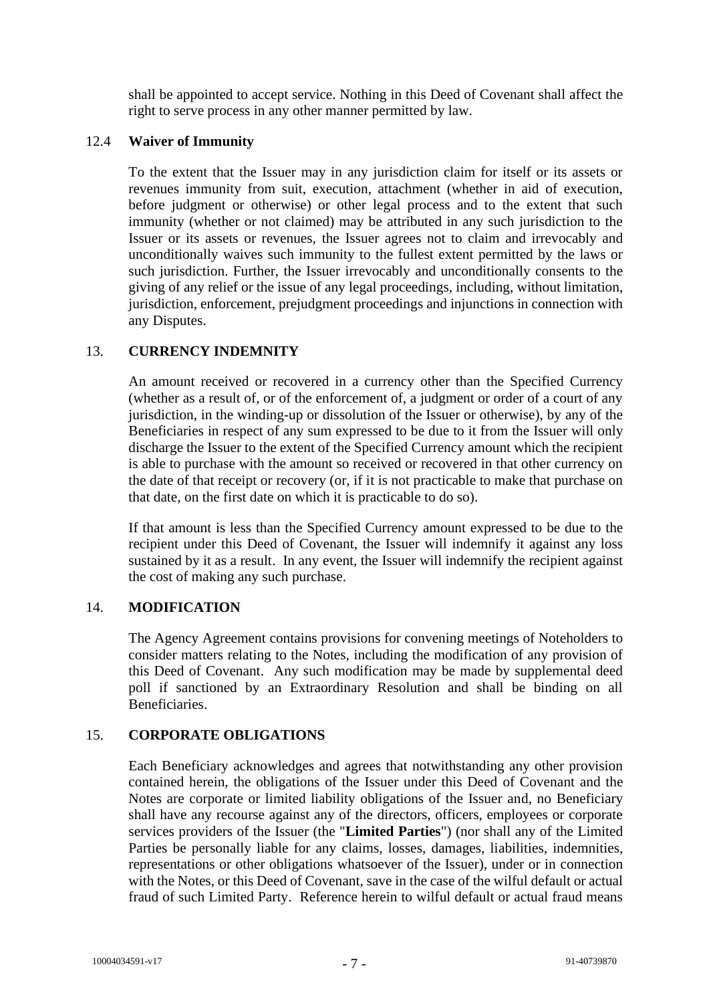shall be appointed to accept service. Nothing in this Deed of Covenant shall affect the right to serve process in any other manner permitted by law.

#### 12.4 **Waiver of Immunity**

To the extent that the Issuer may in any jurisdiction claim for itself or its assets or revenues immunity from suit, execution, attachment (whether in aid of execution, before judgment or otherwise) or other legal process and to the extent that such immunity (whether or not claimed) may be attributed in any such jurisdiction to the Issuer or its assets or revenues, the Issuer agrees not to claim and irrevocably and unconditionally waives such immunity to the fullest extent permitted by the laws or such jurisdiction. Further, the Issuer irrevocably and unconditionally consents to the giving of any relief or the issue of any legal proceedings, including, without limitation, jurisdiction, enforcement, prejudgment proceedings and injunctions in connection with any Disputes.

# 13. **CURRENCY INDEMNITY**

An amount received or recovered in a currency other than the Specified Currency (whether as a result of, or of the enforcement of, a judgment or order of a court of any jurisdiction, in the winding-up or dissolution of the Issuer or otherwise), by any of the Beneficiaries in respect of any sum expressed to be due to it from the Issuer will only discharge the Issuer to the extent of the Specified Currency amount which the recipient is able to purchase with the amount so received or recovered in that other currency on the date of that receipt or recovery (or, if it is not practicable to make that purchase on that date, on the first date on which it is practicable to do so).

If that amount is less than the Specified Currency amount expressed to be due to the recipient under this Deed of Covenant, the Issuer will indemnify it against any loss sustained by it as a result. In any event, the Issuer will indemnify the recipient against the cost of making any such purchase.

# 14. **MODIFICATION**

The Agency Agreement contains provisions for convening meetings of Noteholders to consider matters relating to the Notes, including the modification of any provision of this Deed of Covenant. Any such modification may be made by supplemental deed poll if sanctioned by an Extraordinary Resolution and shall be binding on all Beneficiaries.

# 15. **CORPORATE OBLIGATIONS**

Each Beneficiary acknowledges and agrees that notwithstanding any other provision contained herein, the obligations of the Issuer under this Deed of Covenant and the Notes are corporate or limited liability obligations of the Issuer and, no Beneficiary shall have any recourse against any of the directors, officers, employees or corporate services providers of the Issuer (the "**Limited Parties**") (nor shall any of the Limited Parties be personally liable for any claims, losses, damages, liabilities, indemnities, representations or other obligations whatsoever of the Issuer), under or in connection with the Notes, or this Deed of Covenant, save in the case of the wilful default or actual fraud of such Limited Party. Reference herein to wilful default or actual fraud means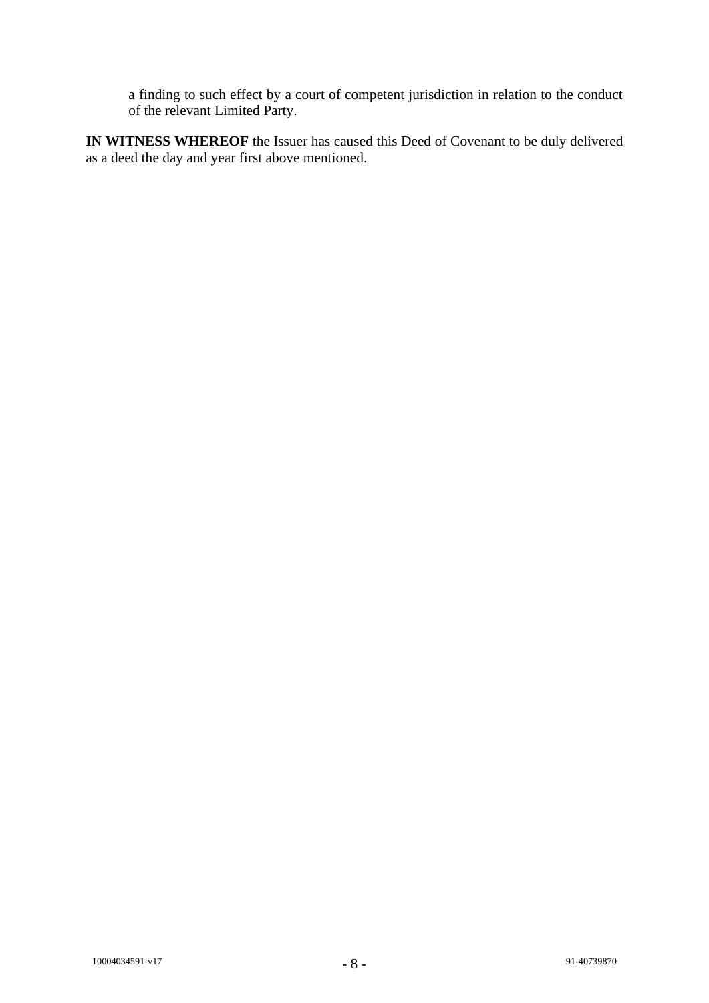a finding to such effect by a court of competent jurisdiction in relation to the conduct of the relevant Limited Party.

**IN WITNESS WHEREOF** the Issuer has caused this Deed of Covenant to be duly delivered as a deed the day and year first above mentioned.